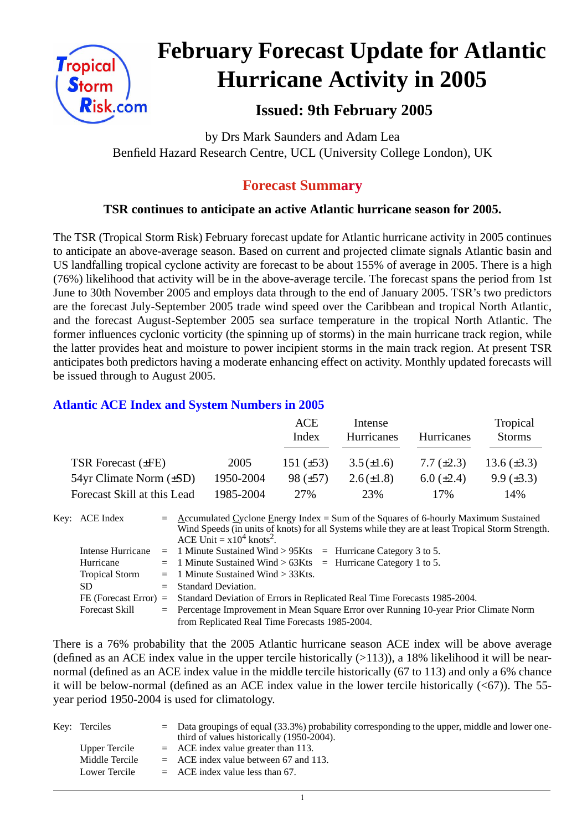

# **February Forecast Update for Atlantic Hurricane Activity in 2005**

# **Issued: 9th February 2005**

by Drs Mark Saunders and Adam Lea Benfield Hazard Research Centre, UCL (University College London), UK

# **Forecast Summary**

# **TSR continues to anticipate an active Atlantic hurricane season for 2005.**

The TSR (Tropical Storm Risk) February forecast update for Atlantic hurricane activity in 2005 continues to anticipate an above-average season. Based on current and projected climate signals Atlantic basin and US landfalling tropical cyclone activity are forecast to be about 155% of average in 2005. There is a high (76%) likelihood that activity will be in the above-average tercile. The forecast spans the period from 1st June to 30th November 2005 and employs data through to the end of January 2005. TSR's two predictors are the forecast July-September 2005 trade wind speed over the Caribbean and tropical North Atlantic, and the forecast August-September 2005 sea surface temperature in the tropical North Atlantic. The former influences cyclonic vorticity (the spinning up of storms) in the main hurricane track region, while the latter provides heat and moisture to power incipient storms in the main track region. At present TSR anticipates both predictors having a moderate enhancing effect on activity. Monthly updated forecasts will be issued through to August 2005.

## **Atlantic ACE Index and System Numbers in 2005**

|                                |           | ACE<br>Index   | Intense<br>Hurricanes | <b>Hurricanes</b> | Tropical<br><b>Storms</b> |
|--------------------------------|-----------|----------------|-----------------------|-------------------|---------------------------|
| TSR Forecast $(\pm FE)$        | 2005      | 151 $(\pm 53)$ | $3.5(\pm 1.6)$        | 7.7 $(\pm 2.3)$   | 13.6 $(\pm 3.3)$          |
| $54yr$ Climate Norm $(\pm SD)$ | 1950-2004 | 98 $(\pm 57)$  | $2.6(\pm 1.8)$        | $6.0 \ (\pm 2.4)$ | $9.9 \ (\pm 3.3)$         |
| Forecast Skill at this Lead    | 1985-2004 | 27%            | 23%                   | 17%               | 14%                       |

Key: ACE Index =  $\triangle$  ccumulated Cyclone Energy Index = Sum of the Squares of 6-hourly Maximum Sustained Wind Speeds (in units of knots) for all Systems while they are at least Tropical Storm Strength. ACE Unit  $= x10^4$  knots<sup>2</sup>. Intense Hurricane  $= 1$  Minute Sustained Wind > 95Kts  $=$  Hurricane Category 3 to 5. Hurricane = 1 Minute Sustained Wind > 63Kts = Hurricane Category 1 to 5. Tropical Storm  $= 1$  Minute Sustained Wind  $> 33K$ ts.

| Tropical Diorill | $=$ 1 minute bustance wing $>$ between                                                          |
|------------------|-------------------------------------------------------------------------------------------------|
| SD               | $=$ Standard Deviation.                                                                         |
|                  | FE (Forecast Error) = Standard Deviation of Errors in Replicated Real Time Forecasts 1985-2004. |
| Forecast Skill   | = Percentage Improvement in Mean Square Error over Running 10-year Prior Climate Norm           |
|                  | from Replicated Real Time Forecasts 1985-2004.                                                  |

There is a 76% probability that the 2005 Atlantic hurricane season ACE index will be above average (defined as an ACE index value in the upper tercile historically  $(>113)$ ), a 18% likelihood it will be nearnormal (defined as an ACE index value in the middle tercile historically (67 to 113) and only a 6% chance it will be below-normal (defined as an ACE index value in the lower tercile historically  $( $67$ )$ ). The 55year period 1950-2004 is used for climatology.

| Key: Terciles  | $\epsilon$ Data groupings of equal (33.3%) probability corresponding to the upper, middle and lower one-<br>third of values historically (1950-2004). |
|----------------|-------------------------------------------------------------------------------------------------------------------------------------------------------|
| Upper Tercile  | $=$ ACE index value greater than 113.                                                                                                                 |
| Middle Tercile | $=$ ACE index value between 67 and 113.                                                                                                               |
| Lower Tercile  | $=$ ACE index value less than 67.                                                                                                                     |

1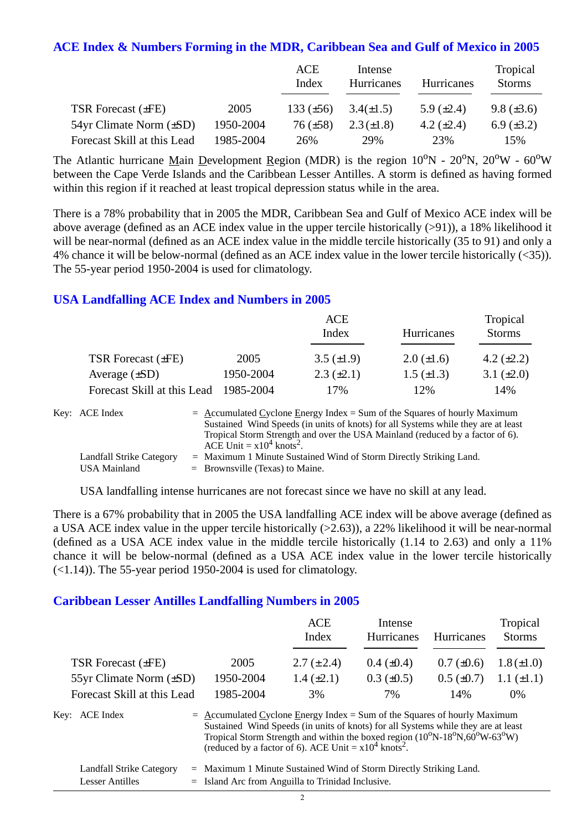#### **ACE Index & Numbers Forming in the MDR, Caribbean Sea and Gulf of Mexico in 2005**

|                                |           | ACE<br>Index    | Intense<br>Hurricanes | Hurricanes      | Tropical<br><b>Storms</b> |
|--------------------------------|-----------|-----------------|-----------------------|-----------------|---------------------------|
| TSR Forecast $(\pm FE)$        | 2005      | 133 $(\pm 56)$  | $3.4(\pm 1.5)$        | 5.9 $(\pm 2.4)$ | $9.8 (\pm 3.6)$           |
| $54yr$ Climate Norm $(\pm SD)$ | 1950-2004 | $76 \ (\pm 58)$ | $2.3(\pm 1.8)$        | 4.2 $(\pm 2.4)$ | 6.9 $(\pm 3.2)$           |
| Forecast Skill at this Lead    | 1985-2004 | 26%             | 29%                   | 23%             | 15%                       |

The Atlantic hurricane Main Development Region (MDR) is the region  $10^{\circ}N - 20^{\circ}N$ ,  $20^{\circ}W - 60^{\circ}W$ between the Cape Verde Islands and the Caribbean Lesser Antilles. A storm is defined as having formed within this region if it reached at least tropical depression status while in the area.

There is a 78% probability that in 2005 the MDR, Caribbean Sea and Gulf of Mexico ACE index will be above average (defined as an ACE index value in the upper tercile historically (>91)), a 18% likelihood it will be near-normal (defined as an ACE index value in the middle tercile historically (35 to 91) and only a 4% chance it will be below-normal (defined as an ACE index value in the lower tercile historically (<35)). The 55-year period 1950-2004 is used for climatology.

## **USA Landfalling ACE Index and Numbers in 2005**

|                             |           | ACE<br>Index      | Hurricanes        | Tropical<br><b>Storms</b> |
|-----------------------------|-----------|-------------------|-------------------|---------------------------|
| TSR Forecast $(\pm FE)$     | 2005      | $3.5 \ (\pm 1.9)$ | $2.0 (\pm 1.6)$   | 4.2 $(\pm 2.2)$           |
| Average $(\pm SD)$          | 1950-2004 | $2.3 \ (\pm 2.1)$ | $1.5 \ (\pm 1.3)$ | 3.1 $(\pm 2.0)$           |
| Forecast Skill at this Lead | 1985-2004 | 17%               | 12%               | 14%                       |

| Key: ACE Index           | $=$ Accumulated Cyclone Energy Index $=$ Sum of the Squares of hourly Maximum     |
|--------------------------|-----------------------------------------------------------------------------------|
|                          | Sustained Wind Speeds (in units of knots) for all Systems while they are at least |
|                          | Tropical Storm Strength and over the USA Mainland (reduced by a factor of 6).     |
|                          | ACE Unit = $x10^4$ knots <sup>2</sup> .                                           |
| Landfall Strike Category | $=$ Maximum 1 Minute Sustained Wind of Storm Directly Striking Land.              |
| USA Mainland             | $=$ Brownsville (Texas) to Maine.                                                 |

USA landfalling intense hurricanes are not forecast since we have no skill at any lead.

There is a 67% probability that in 2005 the USA landfalling ACE index will be above average (defined as a USA ACE index value in the upper tercile historically (>2.63)), a 22% likelihood it will be near-normal (defined as a USA ACE index value in the middle tercile historically (1.14 to 2.63) and only a 11% chance it will be below-normal (defined as a USA ACE index value in the lower tercile historically  $(\leq 1.14)$ ). The 55-year period 1950-2004 is used for climatology.

#### **Caribbean Lesser Antilles Landfalling Numbers in 2005**

|                              |                                                                                                                                                                                                                                                                                                                      | <b>ACE</b><br>Index | Intense<br><b>Hurricanes</b> | <b>Hurricanes</b> | Tropical<br><b>Storms</b> |
|------------------------------|----------------------------------------------------------------------------------------------------------------------------------------------------------------------------------------------------------------------------------------------------------------------------------------------------------------------|---------------------|------------------------------|-------------------|---------------------------|
| TSR Forecast $(\pm FE)$      | 2005                                                                                                                                                                                                                                                                                                                 | $2.7 (\pm 2.4)$     | $0.4~(\pm 0.4)$              | $0.7 (\pm 0.6)$   | $1.8 (\pm 1.0)$           |
| 55yr Climate Norm $(\pm SD)$ | 1950-2004                                                                                                                                                                                                                                                                                                            | $1.4 (\pm 2.1)$     | $0.3 \ (\pm 0.5)$            | $0.5 \ (\pm 0.7)$ | $1.1 (\pm 1.1)$           |
| Forecast Skill at this Lead  | 1985-2004                                                                                                                                                                                                                                                                                                            | 3%                  | 7%                           | 14%               | $0\%$                     |
| Key: ACE Index               | $=$ Accumulated Cyclone Energy Index = Sum of the Squares of hourly Maximum<br>Sustained Wind Speeds (in units of knots) for all Systems while they are at least<br>Tropical Storm Strength and within the boxed region (10°N-18°N,60°W-63°W)<br>(reduced by a factor of 6). ACE Unit = $x10^4$ knots <sup>2</sup> . |                     |                              |                   |                           |

| Landfall Strike Category | $=$ Maximum 1 Minute Sustained Wind of Storm Directly Striking Land. |
|--------------------------|----------------------------------------------------------------------|
| Lesser Antilles          | $=$ Island Arc from Anguilla to Trinidad Inclusive.                  |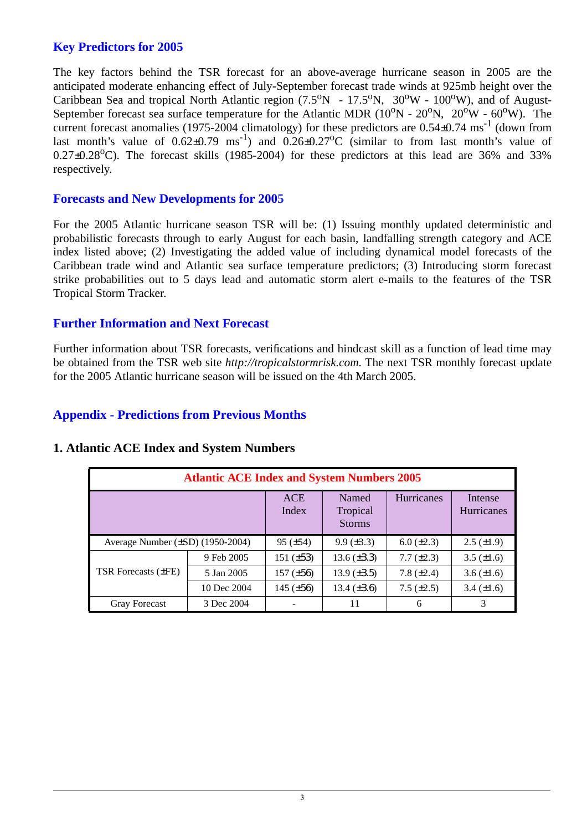## **Key Predictors for 2005**

The key factors behind the TSR forecast for an above-average hurricane season in 2005 are the anticipated moderate enhancing effect of July-September forecast trade winds at 925mb height over the Caribbean Sea and tropical North Atlantic region  $(7.5^{\circ}N - 17.5^{\circ}N, 30^{\circ}W - 100^{\circ}W)$ , and of August-September forecast sea surface temperature for the Atlantic MDR  $(10^{\circ}N - 20^{\circ}N, 20^{\circ}W - 60^{\circ}W)$ . The current forecast anomalies (1975-2004 climatology) for these predictors are  $0.54\pm0.74$  ms<sup>-1</sup> (down from last month's value of  $0.62 \pm 0.79$  ms<sup>-1</sup>) and  $0.26 \pm 0.27$ °C (similar to from last month's value of  $0.27\pm0.28$ °C). The forecast skills (1985-2004) for these predictors at this lead are 36% and 33% respectively.

#### **Forecasts and New Developments for 2005**

For the 2005 Atlantic hurricane season TSR will be: (1) Issuing monthly updated deterministic and probabilistic forecasts through to early August for each basin, landfalling strength category and ACE index listed above; (2) Investigating the added value of including dynamical model forecasts of the Caribbean trade wind and Atlantic sea surface temperature predictors; (3) Introducing storm forecast strike probabilities out to 5 days lead and automatic storm alert e-mails to the features of the TSR Tropical Storm Tracker.

#### **Further Information and Next Forecast**

Further information about TSR forecasts, verifications and hindcast skill as a function of lead time may be obtained from the TSR web site *http://tropicalstormrisk.com*. The next TSR monthly forecast update for the 2005 Atlantic hurricane season will be issued on the 4th March 2005.

## **Appendix - Predictions from Previous Months**

| <b>Atlantic ACE Index and System Numbers 2005</b> |                     |                                    |                   |                              |                    |  |  |  |
|---------------------------------------------------|---------------------|------------------------------------|-------------------|------------------------------|--------------------|--|--|--|
|                                                   | <b>ACE</b><br>Index | Named<br>Tropical<br><b>Storms</b> | Hurricanes        | Intense<br><b>Hurricanes</b> |                    |  |  |  |
| Average Number $(\pm SD)$ (1950-2004)             |                     | $95 (\pm 54)$                      | $9.9 \ (\pm 3.3)$ | $6.0 (\pm 2.3)$              | $2.5 \ (\pm 1.9)$  |  |  |  |
|                                                   | 9 Feb 2005          | 151 $(\pm 53)$                     | 13.6 $(\pm 3.3)$  | $7.7 (\pm 2.3)$              | $3.5 \ (\pm 1.6)$  |  |  |  |
| <b>TSR</b> Forecasts ( $\pm$ FE)                  | 5 Jan 2005          | $157 (\pm 56)$                     | 13.9 $(\pm 3.5)$  | 7.8 $(\pm 2.4)$              | $3.6 \, (\pm 1.6)$ |  |  |  |
|                                                   | 10 Dec 2004         | 145 $(\pm 56)$                     | 13.4 $(\pm 3.6)$  | 7.5 $(\pm 2.5)$              | $3.4 (\pm 1.6)$    |  |  |  |
| <b>Gray Forecast</b>                              | 3 Dec 2004          |                                    | 11                | 6                            | 3                  |  |  |  |

## **1. Atlantic ACE Index and System Numbers**